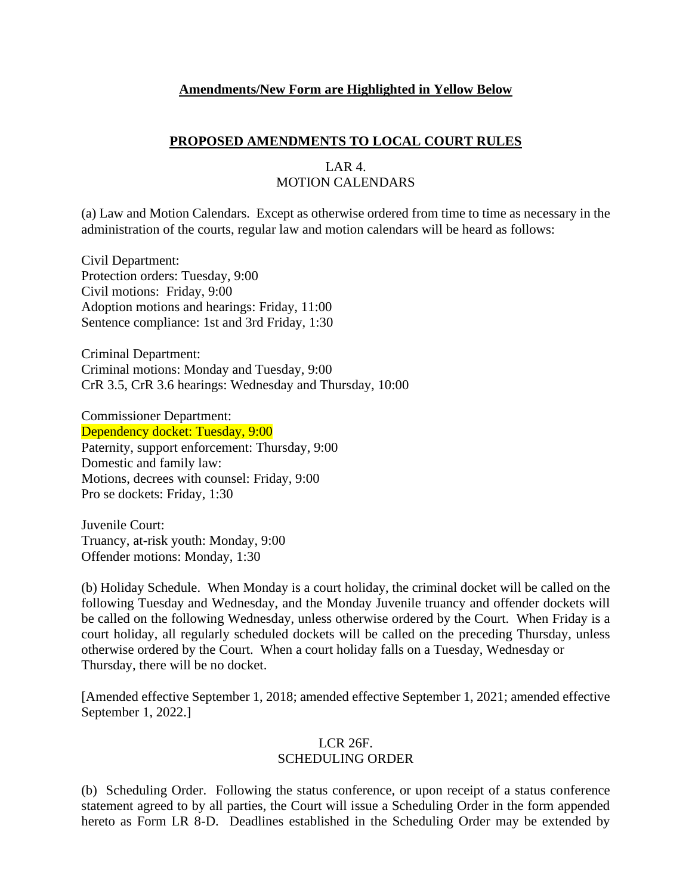#### **Amendments/New Form are Highlighted in Yellow Below**

#### **PROPOSED AMENDMENTS TO LOCAL COURT RULES**

#### LAR 4. MOTION CALENDARS

(a) Law and Motion Calendars. Except as otherwise ordered from time to time as necessary in the administration of the courts, regular law and motion calendars will be heard as follows:

Civil Department: Protection orders: Tuesday, 9:00 Civil motions: Friday, 9:00 Adoption motions and hearings: Friday, 11:00 Sentence compliance: 1st and 3rd Friday, 1:30

Criminal Department: Criminal motions: Monday and Tuesday, 9:00 CrR 3.5, CrR 3.6 hearings: Wednesday and Thursday, 10:00

Commissioner Department: Dependency docket: Tuesday, 9:00 Paternity, support enforcement: Thursday, 9:00 Domestic and family law: Motions, decrees with counsel: Friday, 9:00 Pro se dockets: Friday, 1:30

Juvenile Court: Truancy, at-risk youth: Monday, 9:00 Offender motions: Monday, 1:30

(b) Holiday Schedule. When Monday is a court holiday, the criminal docket will be called on the following Tuesday and Wednesday, and the Monday Juvenile truancy and offender dockets will be called on the following Wednesday, unless otherwise ordered by the Court. When Friday is a court holiday, all regularly scheduled dockets will be called on the preceding Thursday, unless otherwise ordered by the Court. When a court holiday falls on a Tuesday, Wednesday or Thursday, there will be no docket.

[Amended effective September 1, 2018; amended effective September 1, 2021; amended effective September 1, 2022.]

## LCR 26F.

## SCHEDULING ORDER

(b) Scheduling Order. Following the status conference, or upon receipt of a status conference statement agreed to by all parties, the Court will issue a Scheduling Order in the form appended hereto as Form LR 8-D. Deadlines established in the Scheduling Order may be extended by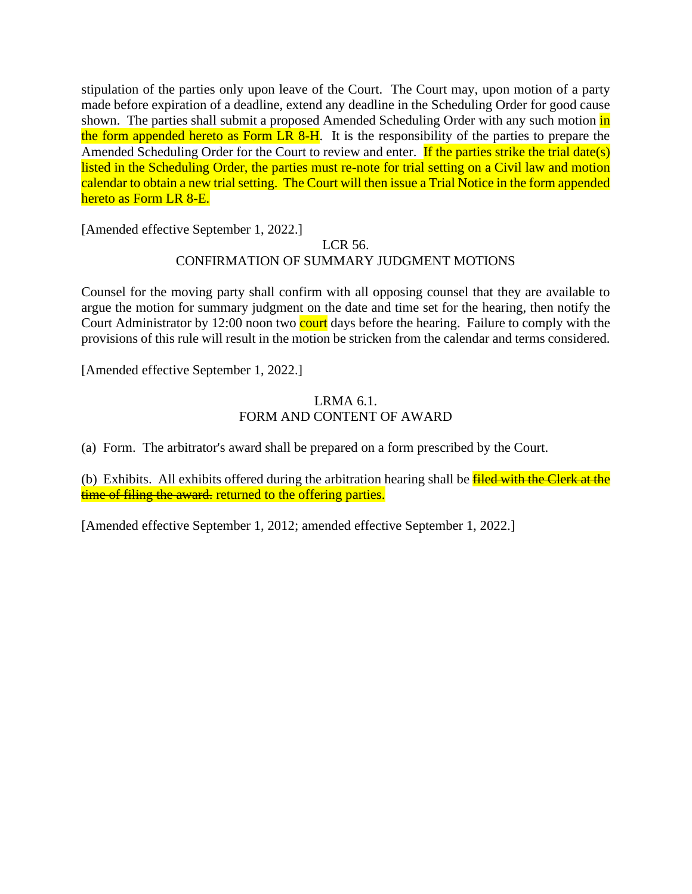stipulation of the parties only upon leave of the Court. The Court may, upon motion of a party made before expiration of a deadline, extend any deadline in the Scheduling Order for good cause shown. The parties shall submit a proposed Amended Scheduling Order with any such motion in the form appended hereto as Form LR 8-H. It is the responsibility of the parties to prepare the Amended Scheduling Order for the Court to review and enter. If the parties strike the trial date(s) listed in the Scheduling Order, the parties must re-note for trial setting on a Civil law and motion calendar to obtain a new trial setting. The Court will then issue a Trial Notice in the form appended hereto as Form LR 8-E.

[Amended effective September 1, 2022.]

# LCR 56. CONFIRMATION OF SUMMARY JUDGMENT MOTIONS

Counsel for the moving party shall confirm with all opposing counsel that they are available to argue the motion for summary judgment on the date and time set for the hearing, then notify the Court Administrator by 12:00 noon two court days before the hearing. Failure to comply with the provisions of this rule will result in the motion be stricken from the calendar and terms considered.

[Amended effective September 1, 2022.]

#### LRMA 6.1. FORM AND CONTENT OF AWARD

(a) Form. The arbitrator's award shall be prepared on a form prescribed by the Court.

(b) Exhibits. All exhibits offered during the arbitration hearing shall be **filed with the Clerk at the** time of filing the award, returned to the offering parties.

[Amended effective September 1, 2012; amended effective September 1, 2022.]